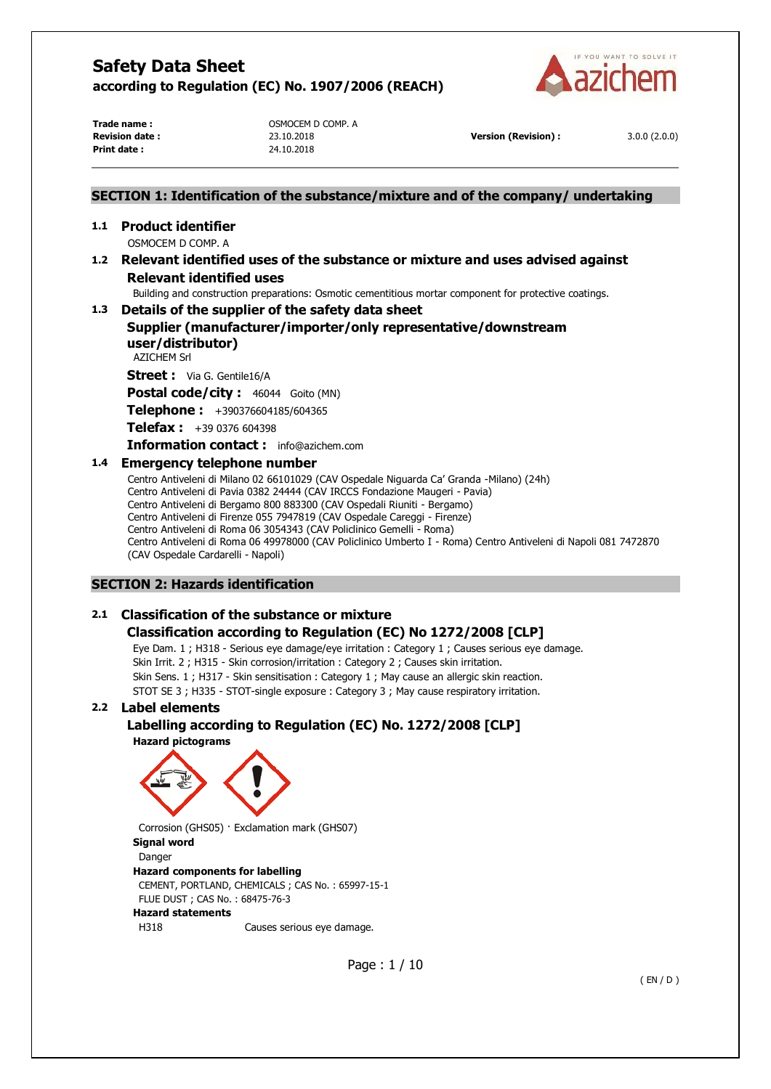

**Print date :** 24.10.2018

**Trade name :**  $OSMOCEM D COMPL A$ 

**Revision date :** 23.10.2018 **Version (Revision) :** 3.0.0 (2.0.0)

# **SECTION 1: Identification of the substance/mixture and of the company/ undertaking 1.1 Product identifier**  OSMOCEM D COMP. A

# **1.2 Relevant identified uses of the substance or mixture and uses advised against Relevant identified uses**

Building and construction preparations: Osmotic cementitious mortar component for protective coatings.

# **1.3 Details of the supplier of the safety data sheet**

# **Supplier (manufacturer/importer/only representative/downstream user/distributor)**

AZICHEM Srl

**Street :** Via G. Gentile16/A

Postal code/city : 46044 Goito (MN)

**Telephone :** +390376604185/604365

**Telefax :** +39 0376 604398

**Information contact :** info@azichem.com

# **1.4 Emergency telephone number**

Centro Antiveleni di Milano 02 66101029 (CAV Ospedale Niguarda Ca' Granda -Milano) (24h) Centro Antiveleni di Pavia 0382 24444 (CAV IRCCS Fondazione Maugeri - Pavia) Centro Antiveleni di Bergamo 800 883300 (CAV Ospedali Riuniti - Bergamo) Centro Antiveleni di Firenze 055 7947819 (CAV Ospedale Careggi - Firenze) Centro Antiveleni di Roma 06 3054343 (CAV Policlinico Gemelli - Roma) Centro Antiveleni di Roma 06 49978000 (CAV Policlinico Umberto I - Roma) Centro Antiveleni di Napoli 081 7472870 (CAV Ospedale Cardarelli - Napoli)

# **SECTION 2: Hazards identification**

# **2.1 Classification of the substance or mixture**

# **Classification according to Regulation (EC) No 1272/2008 [CLP]**

Eye Dam. 1 ; H318 - Serious eye damage/eye irritation : Category 1 ; Causes serious eye damage. Skin Irrit. 2 ; H315 - Skin corrosion/irritation : Category 2 ; Causes skin irritation. Skin Sens. 1 ; H317 - Skin sensitisation : Category 1 ; May cause an allergic skin reaction. STOT SE 3 ; H335 - STOT-single exposure : Category 3 ; May cause respiratory irritation.

# **2.2 Label elements**

# **Labelling according to Regulation (EC) No. 1272/2008 [CLP]**

**Hazard pictograms** 



Corrosion (GHS05) · Exclamation mark (GHS07) **Signal word**  Danger **Hazard components for labelling**  CEMENT, PORTLAND, CHEMICALS ; CAS No. : 65997-15-1 FLUE DUST ; CAS No. : 68475-76-3 **Hazard statements**  H318 Causes serious eye damage.

Page : 1 / 10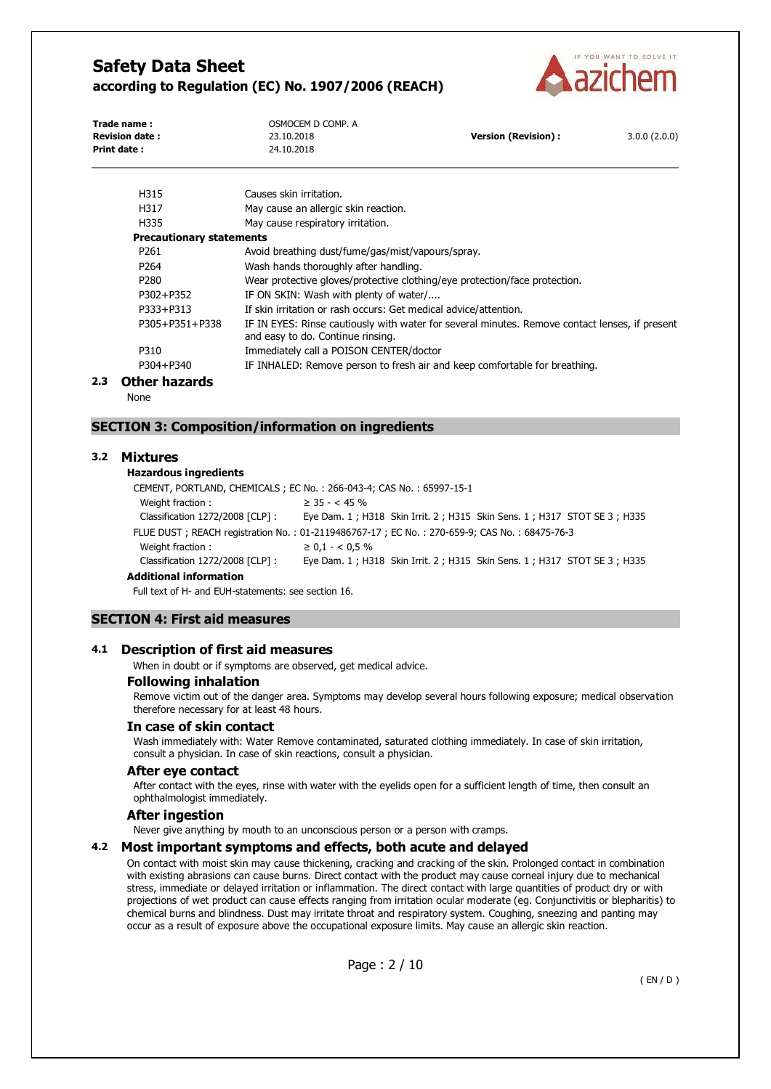

| Trade name:<br><b>Revision date:</b><br><b>Print date:</b> | OSMOCEM D COMP. A<br>23.10.2018<br>24.10.2018                              | <b>Version (Revision):</b> | 3.0.0(2.0.0) |
|------------------------------------------------------------|----------------------------------------------------------------------------|----------------------------|--------------|
| H315                                                       | Causes skin irritation.                                                    |                            |              |
| H317                                                       | May cause an allergic skin reaction.                                       |                            |              |
| H335                                                       | May cause respiratory irritation.                                          |                            |              |
| <b>Precautionary statements</b>                            |                                                                            |                            |              |
| P <sub>261</sub>                                           | Avoid breathing dust/fume/gas/mist/vapours/spray.                          |                            |              |
| P <sub>264</sub>                                           | Wash hands thoroughly after handling.                                      |                            |              |
| P <sub>280</sub>                                           | Wear protective gloves/protective clothing/eye protection/face protection. |                            |              |
| P302+P352                                                  | IF ON SKIN: Wash with plenty of water/                                     |                            |              |

P333+P313 If skin irritation or rash occurs: Get medical advice/attention.

P305+P351+P338 IF IN EYES: Rinse cautiously with water for several minutes. Remove contact lenses, if present and easy to do. Continue rinsing.

P310 Immediately call a POISON CENTER/doctor P304+P340 IF INHALED: Remove person to fresh air and keep comfortable for breathing.

#### **2.3 Other hazards**

None

#### **SECTION 3: Composition/information on ingredients**

#### **3.2 Mixtures**

# **Hazardous ingredients**

CEMENT, PORTLAND, CHEMICALS ; EC No. : 266-043-4; CAS No. : 65997-15-1 Weight fraction :  $\geq 35 - < 45 \%$ Classification 1272/2008 [CLP] : Eye Dam. 1 ; H318 Skin Irrit. 2 ; H315 Skin Sens. 1 ; H317 STOT SE 3 ; H335 FLUE DUST ; REACH registration No. : 01-2119486767-17 ; EC No. : 270-659-9; CAS No. : 68475-76-3 Weight fraction :  $\geq 0.1 - < 0.5$  % Classification 1272/2008 [CLP] : Eye Dam. 1 ; H318 Skin Irrit. 2 ; H315 Skin Sens. 1 ; H317 STOT SE 3 ; H335 **Additional information**

Full text of H- and EUH-statements: see section 16.

## **SECTION 4: First aid measures**

#### **4.1 Description of first aid measures**

When in doubt or if symptoms are observed, get medical advice.

#### **Following inhalation**

Remove victim out of the danger area. Symptoms may develop several hours following exposure; medical observation therefore necessary for at least 48 hours.

#### **In case of skin contact**

Wash immediately with: Water Remove contaminated, saturated clothing immediately. In case of skin irritation, consult a physician. In case of skin reactions, consult a physician.

#### **After eye contact**

After contact with the eyes, rinse with water with the eyelids open for a sufficient length of time, then consult an ophthalmologist immediately.

#### **After ingestion**

Never give anything by mouth to an unconscious person or a person with cramps.

#### **4.2 Most important symptoms and effects, both acute and delayed**

On contact with moist skin may cause thickening, cracking and cracking of the skin. Prolonged contact in combination with existing abrasions can cause burns. Direct contact with the product may cause corneal injury due to mechanical stress, immediate or delayed irritation or inflammation. The direct contact with large quantities of product dry or with projections of wet product can cause effects ranging from irritation ocular moderate (eg. Conjunctivitis or blepharitis) to chemical burns and blindness. Dust may irritate throat and respiratory system. Coughing, sneezing and panting may occur as a result of exposure above the occupational exposure limits. May cause an allergic skin reaction.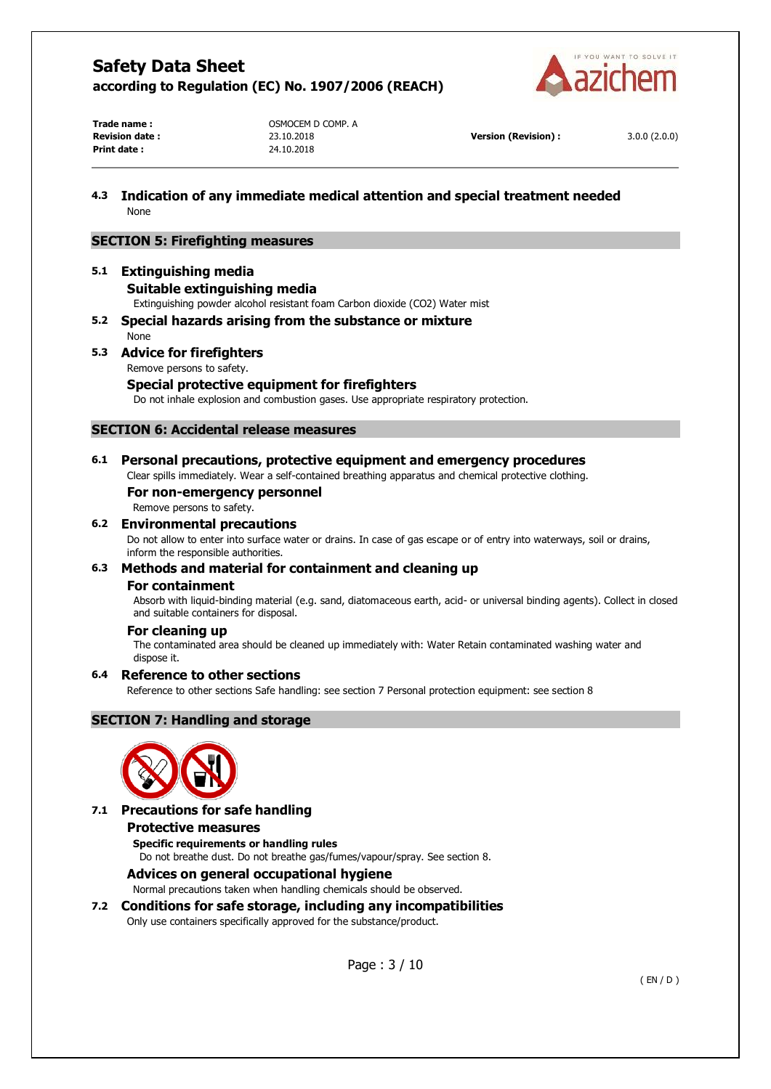

**Print date :** 24.10.2018

**Trade name :**  $OSMOCEM D COMPL A$ 

**Revision date :** 23.10.2018 **Version (Revision) :** 3.0.0 (2.0.0)

# **4.3 Indication of any immediate medical attention and special treatment needed**  None

## **SECTION 5: Firefighting measures**

# **5.1 Extinguishing media**

#### **Suitable extinguishing media**

Extinguishing powder alcohol resistant foam Carbon dioxide (CO2) Water mist

**5.2 Special hazards arising from the substance or mixture**  None

#### **5.3 Advice for firefighters**

Remove persons to safety.

#### **Special protective equipment for firefighters**

Do not inhale explosion and combustion gases. Use appropriate respiratory protection.

#### **SECTION 6: Accidental release measures**

# **6.1 Personal precautions, protective equipment and emergency procedures**

Clear spills immediately. Wear a self-contained breathing apparatus and chemical protective clothing.

## **For non-emergency personnel**

Remove persons to safety.

#### **6.2 Environmental precautions**

Do not allow to enter into surface water or drains. In case of gas escape or of entry into waterways, soil or drains, inform the responsible authorities.

#### **6.3 Methods and material for containment and cleaning up**

#### **For containment**

Absorb with liquid-binding material (e.g. sand, diatomaceous earth, acid- or universal binding agents). Collect in closed and suitable containers for disposal.

#### **For cleaning up**

The contaminated area should be cleaned up immediately with: Water Retain contaminated washing water and dispose it.

# **6.4 Reference to other sections**

Reference to other sections Safe handling: see section 7 Personal protection equipment: see section 8

# **SECTION 7: Handling and storage**



#### **7.1 Precautions for safe handling**

## **Protective measures**

**Specific requirements or handling rules** 

Do not breathe dust. Do not breathe gas/fumes/vapour/spray. See section 8.

## **Advices on general occupational hygiene**

Normal precautions taken when handling chemicals should be observed.

# **7.2 Conditions for safe storage, including any incompatibilities**

Only use containers specifically approved for the substance/product.

Page : 3 / 10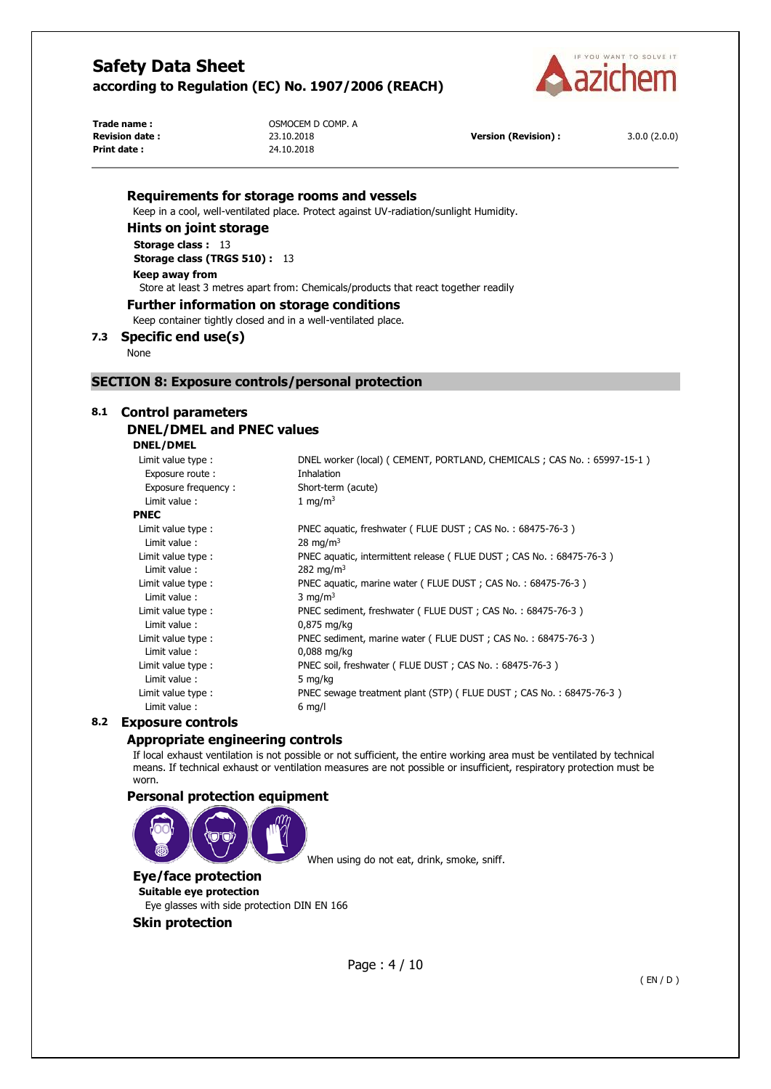

**Print date :** 24.10.2018

**Trade name : COMP. A** OSMOCEM D COMP. A **Revision date :** 23.10.2018 **Version (Revision) :** 3.0.0 (2.0.0)

#### **Requirements for storage rooms and vessels**

Keep in a cool, well-ventilated place. Protect against UV-radiation/sunlight Humidity.

**Hints on joint storage** 

**Storage class :** 13 **Storage class (TRGS 510) :** 13

**Keep away from**  Store at least 3 metres apart from: Chemicals/products that react together readily

#### **Further information on storage conditions**

Keep container tightly closed and in a well-ventilated place.

**7.3 Specific end use(s)** 

None

#### **SECTION 8: Exposure controls/personal protection**

#### **8.1 Control parameters**

# **DNEL/DMEL and PNEC values**

**DNEL/DMEL** 

| Limit value type:   | DNEL worker (local) ( CEMENT, PORTLAND, CHEMICALS ; CAS No.: 65997-15-1) |
|---------------------|--------------------------------------------------------------------------|
| Exposure route:     | Inhalation                                                               |
| Exposure frequency: | Short-term (acute)                                                       |
| Limit value:        | 1 mg/m <sup>3</sup>                                                      |
| <b>PNEC</b>         |                                                                          |
| Limit value type:   | PNEC aquatic, freshwater (FLUE DUST; CAS No.: 68475-76-3)                |
| Limit value:        | 28 mg/m <sup>3</sup>                                                     |
| Limit value type :  | PNEC aquatic, intermittent release (FLUE DUST; CAS No.: 68475-76-3)      |
| Limit value:        | 282 mg/m <sup>3</sup>                                                    |
| Limit value type:   | PNEC aquatic, marine water (FLUE DUST; CAS No.: 68475-76-3)              |
| Limit value:        | 3 mg/m <sup>3</sup>                                                      |
| Limit value type :  | PNEC sediment, freshwater (FLUE DUST; CAS No.: 68475-76-3)               |
| Limit value:        | $0.875$ mg/kg                                                            |
| Limit value type:   | PNEC sediment, marine water (FLUE DUST; CAS No.: 68475-76-3)             |
| Limit value:        | $0.088$ mg/kg                                                            |
| Limit value type:   | PNEC soil, freshwater (FLUE DUST; CAS No.: 68475-76-3)                   |
| Limit value:        | 5 mg/kg                                                                  |
| Limit value type :  | PNEC sewage treatment plant (STP) ( FLUE DUST ; CAS No. : 68475-76-3 )   |
| Limit value:        | $6$ mg/l                                                                 |
|                     |                                                                          |

# **8.2 Exposure controls**

#### **Appropriate engineering controls**

If local exhaust ventilation is not possible or not sufficient, the entire working area must be ventilated by technical means. If technical exhaust or ventilation measures are not possible or insufficient, respiratory protection must be worn.

#### **Personal protection equipment**



When using do not eat, drink, smoke, sniff.

# **Eye/face protection**

**Suitable eye protection**  Eye glasses with side protection DIN EN 166

#### **Skin protection**

Page : 4 / 10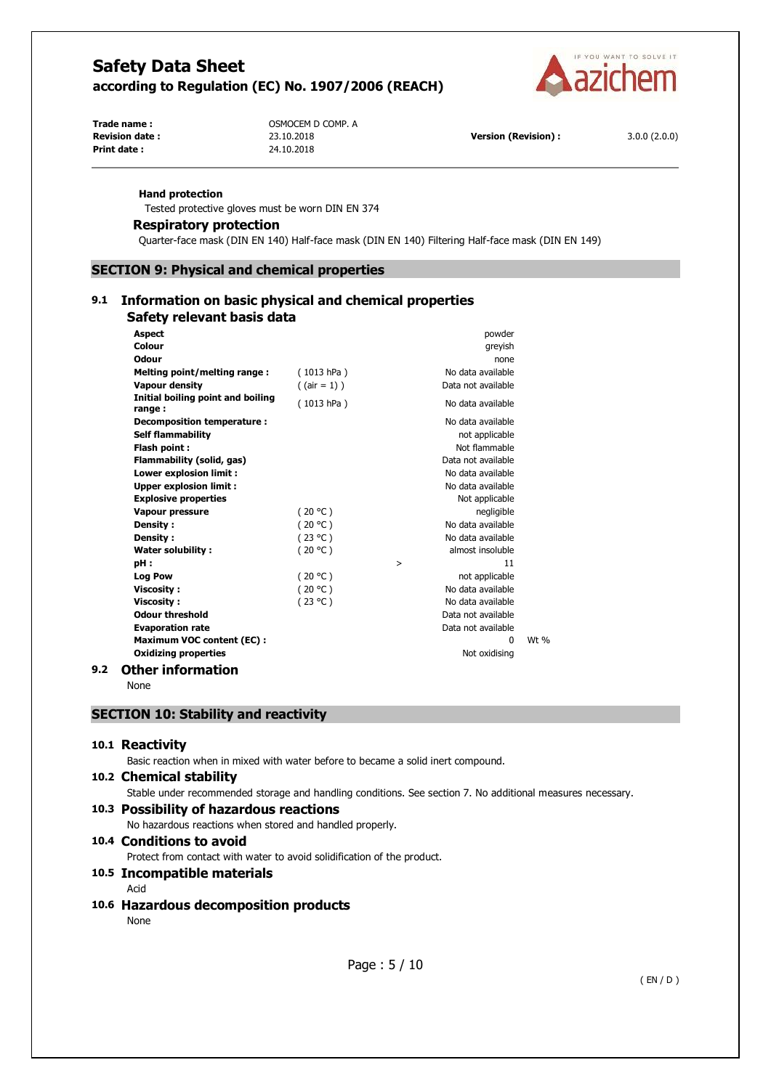

**Trade name : COMP. A** OSMOCEM D COMP. A **Print date :** 24.10.2018

**Revision date :** 23.10.2018 **Version (Revision) :** 3.0.0 (2.0.0)

#### **Hand protection**

Tested protective gloves must be worn DIN EN 374

#### **Respiratory protection**

Quarter-face mask (DIN EN 140) Half-face mask (DIN EN 140) Filtering Half-face mask (DIN EN 149)

**SECTION 9: Physical and chemical properties** 

# **9.1 Information on basic physical and chemical properties**

# **Safety relevant basis data**

| <b>Aspect</b>                               |                 | powder             |        |
|---------------------------------------------|-----------------|--------------------|--------|
| Colour                                      |                 | greyish            |        |
| <b>Odour</b>                                |                 | none               |        |
| Melting point/melting range:                | (1013 hPa)      | No data available  |        |
| <b>Vapour density</b>                       | $($ (air = 1) ) | Data not available |        |
| Initial boiling point and boiling<br>range: | (1013 hPa)      | No data available  |        |
| Decomposition temperature:                  |                 | No data available  |        |
| <b>Self flammability</b>                    |                 | not applicable     |        |
| Flash point:                                |                 | Not flammable      |        |
| Flammability (solid, gas)                   |                 | Data not available |        |
| Lower explosion limit :                     |                 | No data available  |        |
| <b>Upper explosion limit:</b>               |                 | No data available  |        |
| <b>Explosive properties</b>                 |                 | Not applicable     |        |
| Vapour pressure                             | (20 °C)         | negligible         |        |
| <b>Density:</b>                             | (20 °C)         | No data available  |        |
| Density:                                    | (23 °C)         | No data available  |        |
| <b>Water solubility:</b>                    | (20 °C)         | almost insoluble   |        |
| pH:                                         |                 | 11<br>$\, > \,$    |        |
| <b>Log Pow</b>                              | (20 °C)         | not applicable     |        |
| <b>Viscosity:</b>                           | (20 °C)         | No data available  |        |
| <b>Viscosity:</b>                           | (23 °C)         | No data available  |        |
| <b>Odour threshold</b>                      |                 | Data not available |        |
| <b>Evaporation rate</b>                     |                 | Data not available |        |
| <b>Maximum VOC content (EC):</b>            |                 | $\Omega$           | Wt $%$ |
| <b>Oxidizing properties</b>                 |                 | Not oxidising      |        |
|                                             |                 |                    |        |

#### **9.2 Other information**

None

## **SECTION 10: Stability and reactivity**

#### **10.1 Reactivity**

Basic reaction when in mixed with water before to became a solid inert compound.

#### **10.2 Chemical stability**

Stable under recommended storage and handling conditions. See section 7. No additional measures necessary.

#### **10.3 Possibility of hazardous reactions**

No hazardous reactions when stored and handled properly.

## **10.4 Conditions to avoid**

Protect from contact with water to avoid solidification of the product.

## **10.5 Incompatible materials**

Acid

#### **10.6 Hazardous decomposition products**

None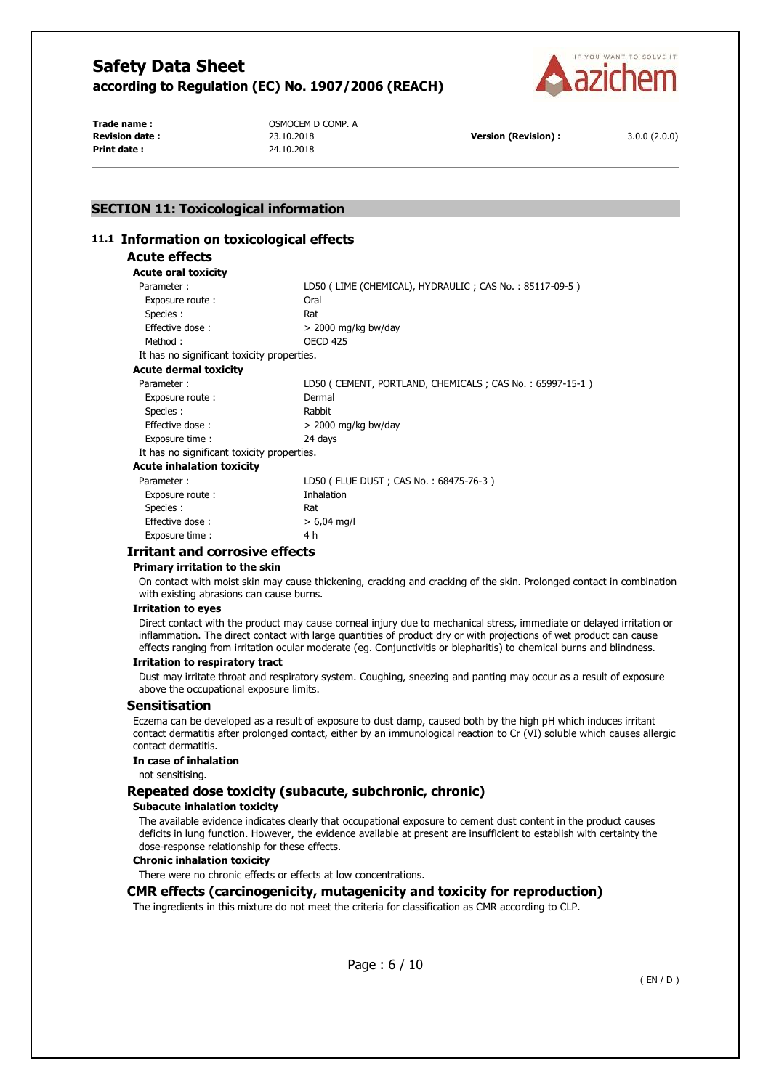

**Print date :** 24.10.2018

**Trade name : COMP. A** OSMOCEM D COMP. A

**Revision date :** 23.10.2018 **Version (Revision) :** 3.0.0 (2.0.0)

# **SECTION 11: Toxicological information**

## **11.1 Information on toxicological effects**

# **Acute effects**

| Acute oral toxicity                        |                                                         |
|--------------------------------------------|---------------------------------------------------------|
| Parameter:                                 | LD50 (LIME (CHEMICAL), HYDRAULIC; CAS No.: 85117-09-5)  |
| Exposure route:                            | Oral                                                    |
| Species :                                  | Rat                                                     |
| Effective dose:                            | $>$ 2000 mg/kg bw/day                                   |
| Method:                                    | <b>OECD 425</b>                                         |
| It has no significant toxicity properties. |                                                         |
| Acute dermal toxicity                      |                                                         |
| Parameter:                                 | LD50 (CEMENT, PORTLAND, CHEMICALS; CAS No.: 65997-15-1) |
| Exposure route:                            | Dermal                                                  |
| Species :                                  | Rabbit                                                  |
| Effective dose:                            | $>$ 2000 mg/kg bw/day                                   |
| Exposure time:                             | 24 days                                                 |
| It has no significant toxicity properties. |                                                         |
| Acute inhalation toxicity                  |                                                         |
| Parameter:                                 | LD50 (FLUE DUST; CAS No.: 68475-76-3)                   |
| Exposure route:                            | Inhalation                                              |
| Species :                                  | Rat                                                     |
| Effective dose:                            | $> 6,04$ mg/l                                           |

#### Exposure time : 4 h **Irritant and corrosive effects**

#### **Primary irritation to the skin**

On contact with moist skin may cause thickening, cracking and cracking of the skin. Prolonged contact in combination with existing abrasions can cause burns.

#### **Irritation to eyes**

Direct contact with the product may cause corneal injury due to mechanical stress, immediate or delayed irritation or inflammation. The direct contact with large quantities of product dry or with projections of wet product can cause effects ranging from irritation ocular moderate (eg. Conjunctivitis or blepharitis) to chemical burns and blindness.

#### **Irritation to respiratory tract**

Dust may irritate throat and respiratory system. Coughing, sneezing and panting may occur as a result of exposure above the occupational exposure limits.

#### **Sensitisation**

Eczema can be developed as a result of exposure to dust damp, caused both by the high pH which induces irritant contact dermatitis after prolonged contact, either by an immunological reaction to Cr (VI) soluble which causes allergic contact dermatitis.

#### **In case of inhalation**

not sensitising.

#### **Repeated dose toxicity (subacute, subchronic, chronic)**

#### **Subacute inhalation toxicity**

The available evidence indicates clearly that occupational exposure to cement dust content in the product causes deficits in lung function. However, the evidence available at present are insufficient to establish with certainty the dose-response relationship for these effects.

#### **Chronic inhalation toxicity**

There were no chronic effects or effects at low concentrations.

#### **CMR effects (carcinogenicity, mutagenicity and toxicity for reproduction)**

The ingredients in this mixture do not meet the criteria for classification as CMR according to CLP.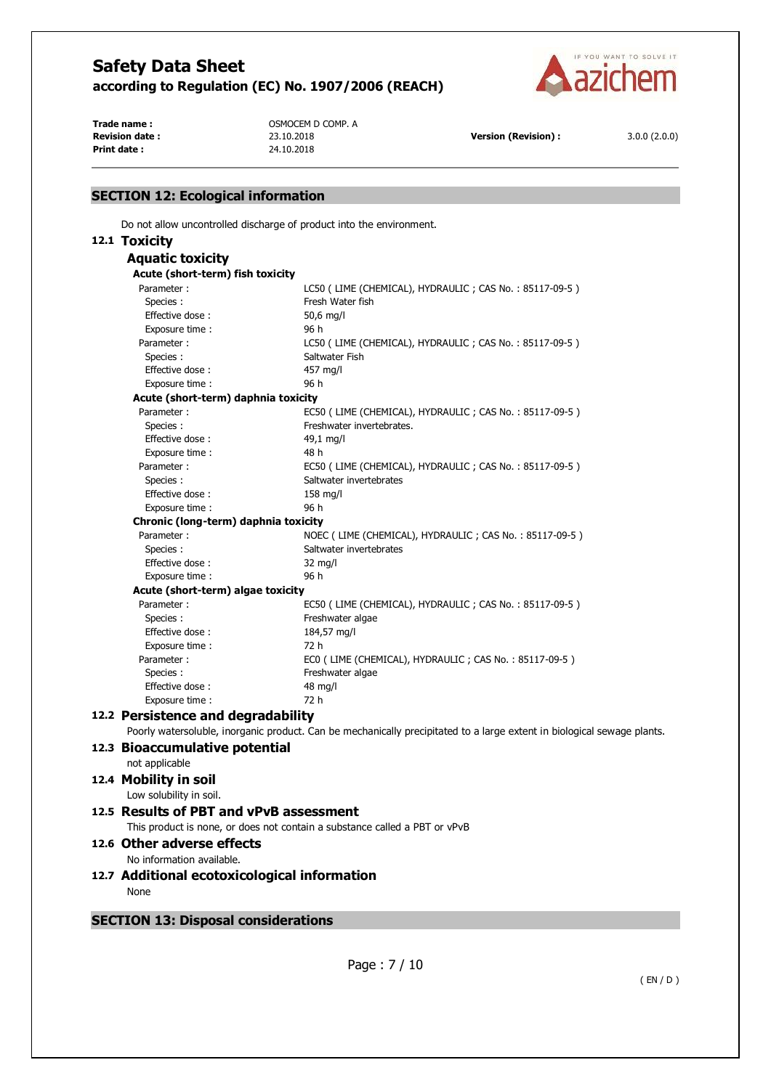

**Print date :** 24.10.2018

**Trade name : COMP. A** OSMOCEM D COMP. A

**Revision date :** 23.10.2018 **Version (Revision) :** 3.0.0 (2.0.0)

## **SECTION 12: Ecological information**  Do not allow uncontrolled discharge of product into the environment. **12.1 Toxicity Aquatic toxicity Acute (short-term) fish toxicity**  Parameter : LC50 (LIME (CHEMICAL), HYDRAULIC ; CAS No. : 85117-09-5) Species : Fresh Water fish Effective dose : 50,6 mg/l Exposure time : 96 h Parameter : LC50 ( LIME (CHEMICAL), HYDRAULIC ; CAS No. : 85117-09-5 ) Species : Saltwater Fish Effective dose : 457 mg/l Exposure time : 96 h **Acute (short-term) daphnia toxicity**  Parameter : EC50 ( LIME (CHEMICAL), HYDRAULIC ; CAS No. : 85117-09-5 ) Species : Freshwater invertebrates. Effective dose : 49,1 mg/l Exposure time : 48 h Parameter : EC50 ( LIME (CHEMICAL), HYDRAULIC ; CAS No. : 85117-09-5 ) Species : Species : Saltwater invertebrates Effective dose : 158 mg/l Exposure time : 96 h **Chronic (long-term) daphnia toxicity**  Parameter : NOEC (LIME (CHEMICAL), HYDRAULIC ; CAS No. : 85117-09-5 ) Species : Saltwater invertebrates Effective dose : 32 mg/l Exposure time : 96 h **Acute (short-term) algae toxicity**  Parameter : EC50 ( LIME (CHEMICAL), HYDRAULIC ; CAS No. : 85117-09-5 ) Species : Freshwater algae Effective dose : 184,57 mg/l Exposure time : 72 h Parameter : ECO (LIME (CHEMICAL), HYDRAULIC ; CAS No. : 85117-09-5 ) Species : Freshwater algae Effective dose : 48 mg/l Exposure time : 72 h **12.2 Persistence and degradability**  Poorly watersoluble, inorganic product. Can be mechanically precipitated to a large extent in biological sewage plants. **12.3 Bioaccumulative potential**  not applicable **12.4 Mobility in soil**  Low solubility in soil. **12.5 Results of PBT and vPvB assessment**  This product is none, or does not contain a substance called a PBT or vPvB **12.6 Other adverse effects**  No information available. **12.7 Additional ecotoxicological information None SECTION 13: Disposal considerations**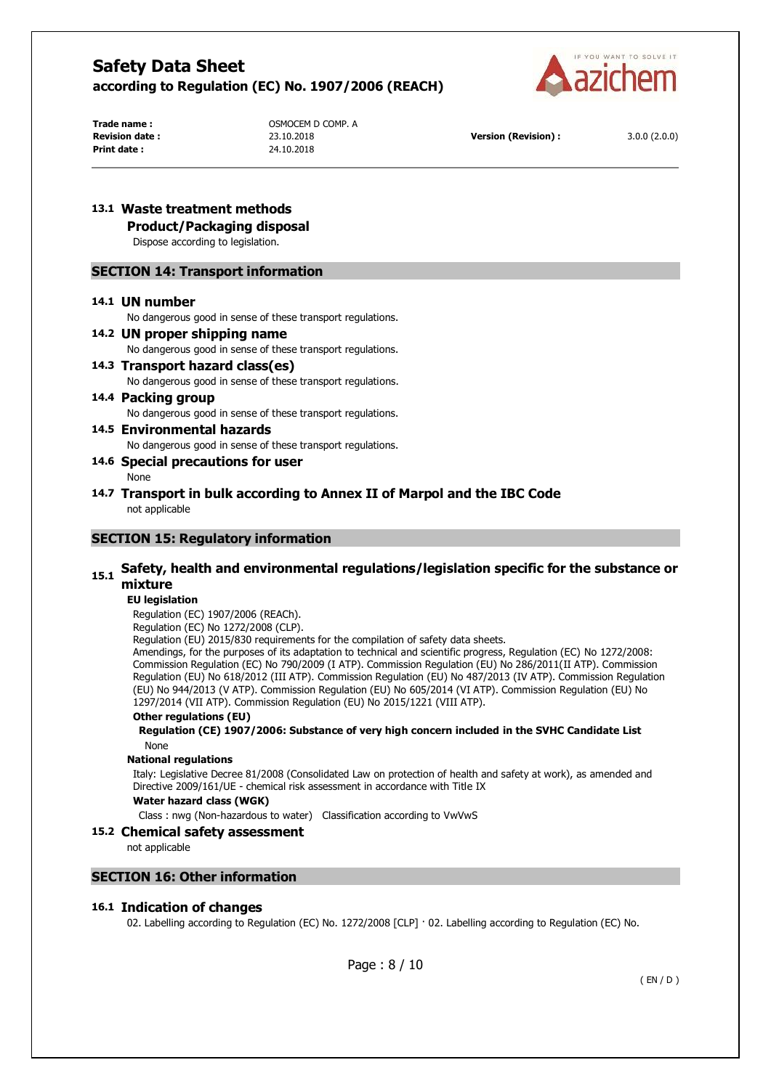

**Print date :** 24.10.2018

**Trade name : COMP. A** OSMOCEM D COMP. A

# **13.1 Waste treatment methods**

**Product/Packaging disposal** 

Dispose according to legislation.

## **SECTION 14: Transport information**

#### **14.1 UN number**

No dangerous good in sense of these transport regulations.

#### **14.2 UN proper shipping name**

No dangerous good in sense of these transport regulations.

#### **14.3 Transport hazard class(es)**  No dangerous good in sense of these transport regulations.

# **14.4 Packing group**  No dangerous good in sense of these transport regulations.

# **14.5 Environmental hazards**

No dangerous good in sense of these transport regulations.

## **14.6 Special precautions for user**

None

#### **14.7 Transport in bulk according to Annex II of Marpol and the IBC Code**  not applicable

## **SECTION 15: Regulatory information**

# **15.1 Safety, health and environmental regulations/legislation specific for the substance or mixture**

#### **EU legislation**

Regulation (EC) 1907/2006 (REACh).

Regulation (EC) No 1272/2008 (CLP).

Regulation (EU) 2015/830 requirements for the compilation of safety data sheets.

Amendings, for the purposes of its adaptation to technical and scientific progress, Regulation (EC) No 1272/2008: Commission Regulation (EC) No 790/2009 (I ATP). Commission Regulation (EU) No 286/2011(II ATP). Commission Regulation (EU) No 618/2012 (III ATP). Commission Regulation (EU) No 487/2013 (IV ATP). Commission Regulation (EU) No 944/2013 (V ATP). Commission Regulation (EU) No 605/2014 (VI ATP). Commission Regulation (EU) No 1297/2014 (VII ATP). Commission Regulation (EU) No 2015/1221 (VIII ATP).

#### **Other regulations (EU)**

#### **Regulation (CE) 1907/2006: Substance of very high concern included in the SVHC Candidate List**  None

#### **National regulations**

Italy: Legislative Decree 81/2008 (Consolidated Law on protection of health and safety at work), as amended and Directive 2009/161/UE - chemical risk assessment in accordance with Title IX

#### **Water hazard class (WGK)**

Class : nwg (Non-hazardous to water) Classification according to VwVwS

# **15.2 Chemical safety assessment**

not applicable

# **SECTION 16: Other information**

#### **16.1 Indication of changes**

02. Labelling according to Regulation (EC) No. 1272/2008 [CLP] · 02. Labelling according to Regulation (EC) No.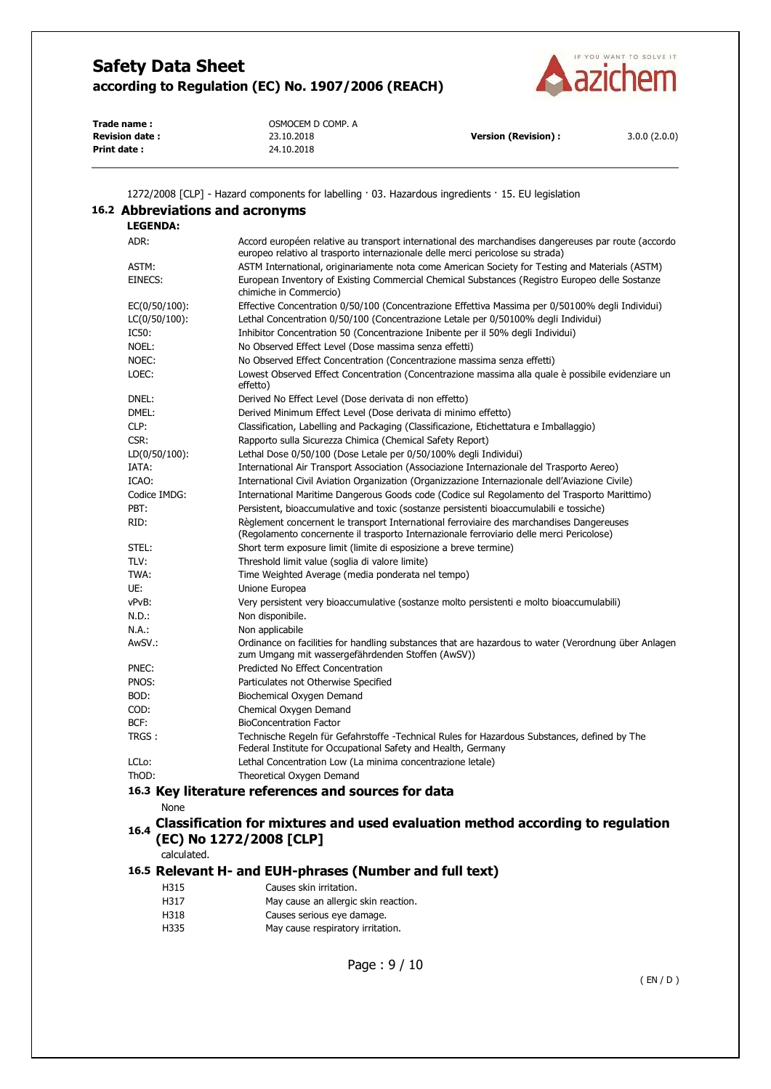

| Trade name:           | OSMOCEM D COMP. A |                            |              |
|-----------------------|-------------------|----------------------------|--------------|
| <b>Revision date:</b> | 23.10.2018        | <b>Version (Revision):</b> | 3.0.0(2.0.0) |
| Print date:           | 24.10.2018        |                            |              |

1272/2008 [CLP] - Hazard components for labelling · 03. Hazardous ingredients · 15. EU legislation

|                  | Accord européen relative au transport international des marchandises dangereuses par route (accordo                                                                                  |
|------------------|--------------------------------------------------------------------------------------------------------------------------------------------------------------------------------------|
|                  | europeo relativo al trasporto internazionale delle merci pericolose su strada)                                                                                                       |
| ASTM:            | ASTM International, originariamente nota come American Society for Testing and Materials (ASTM)                                                                                      |
| EINECS:          | European Inventory of Existing Commercial Chemical Substances (Registro Europeo delle Sostanze<br>chimiche in Commercio)                                                             |
| $EC(0/50/100)$ : | Effective Concentration 0/50/100 (Concentrazione Effettiva Massima per 0/50100% degli Individui)                                                                                     |
| LC(0/50/100):    | Lethal Concentration 0/50/100 (Concentrazione Letale per 0/50100% degli Individui)                                                                                                   |
| IC50:            | Inhibitor Concentration 50 (Concentrazione Inibente per il 50% degli Individui)                                                                                                      |
| NOEL:            | No Observed Effect Level (Dose massima senza effetti)                                                                                                                                |
| NOEC:            | No Observed Effect Concentration (Concentrazione massima senza effetti)                                                                                                              |
| LOEC:            | Lowest Observed Effect Concentration (Concentrazione massima alla quale è possibile evidenziare un<br>effetto)                                                                       |
| DNEL:            | Derived No Effect Level (Dose derivata di non effetto)                                                                                                                               |
| DMEL:            | Derived Minimum Effect Level (Dose derivata di minimo effetto)                                                                                                                       |
| CLP:             | Classification, Labelling and Packaging (Classificazione, Etichettatura e Imballaggio)                                                                                               |
| CSR:             | Rapporto sulla Sicurezza Chimica (Chemical Safety Report)                                                                                                                            |
| $LD(0/50/100)$ : | Lethal Dose 0/50/100 (Dose Letale per 0/50/100% degli Individui)                                                                                                                     |
| IATA:            | International Air Transport Association (Associazione Internazionale del Trasporto Aereo)                                                                                            |
| ICAO:            | International Civil Aviation Organization (Organizzazione Internazionale dell'Aviazione Civile)                                                                                      |
| Codice IMDG:     | International Maritime Dangerous Goods code (Codice sul Regolamento del Trasporto Marittimo)                                                                                         |
| PBT:             | Persistent, bioaccumulative and toxic (sostanze persistenti bioaccumulabili e tossiche)                                                                                              |
| RID:             | Règlement concernent le transport International ferroviaire des marchandises Dangereuses<br>(Regolamento concernente il trasporto Internazionale ferroviario delle merci Pericolose) |
| STEL:            | Short term exposure limit (limite di esposizione a breve termine)                                                                                                                    |
| TLV:             | Threshold limit value (soglia di valore limite)                                                                                                                                      |
| TWA:             | Time Weighted Average (media ponderata nel tempo)                                                                                                                                    |
| UE:              | Unione Europea                                                                                                                                                                       |
| vPvB:            | Very persistent very bioaccumulative (sostanze molto persistenti e molto bioaccumulabili)                                                                                            |
| N.D.:            | Non disponibile.                                                                                                                                                                     |
| N.A.:            | Non applicabile                                                                                                                                                                      |
| AwSV.:           | Ordinance on facilities for handling substances that are hazardous to water (Verordnung über Anlagen<br>zum Umgang mit wassergefährdenden Stoffen (AwSV))                            |
| PNEC:            | Predicted No Effect Concentration                                                                                                                                                    |
| PNOS:            | Particulates not Otherwise Specified                                                                                                                                                 |
| BOD:             | Biochemical Oxygen Demand                                                                                                                                                            |
| COD:             | Chemical Oxygen Demand                                                                                                                                                               |
| BCF:             | <b>BioConcentration Factor</b>                                                                                                                                                       |
| TRGS:            | Technische Regeln für Gefahrstoffe -Technical Rules for Hazardous Substances, defined by The<br>Federal Institute for Occupational Safety and Health, Germany                        |
| LCLo:            | Lethal Concentration Low (La minima concentrazione letale)                                                                                                                           |
| ThOD:            | Theoretical Oxygen Demand                                                                                                                                                            |
|                  | 16.3 Key literature references and sources for data                                                                                                                                  |